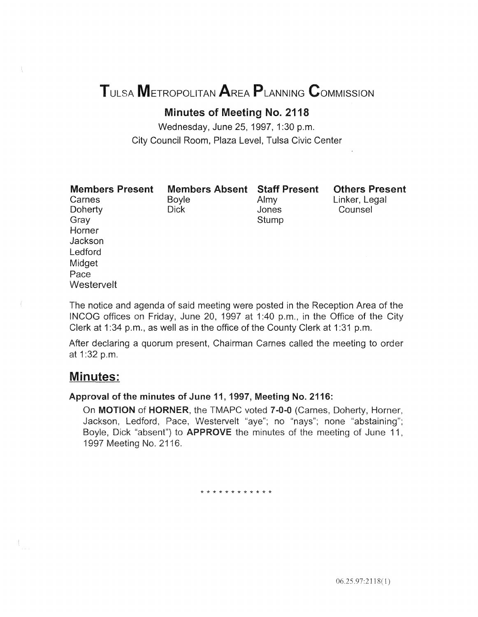# TULSA METROPOLITAN AREA PLANNING CoMMISSION

# Minutes of Meeting No. 2118

Wednesday, June 25, 1997, 1:30 p.m. City Council Room, Plaza Level, Tulsa Civic Center

| <b>Members Present</b> |  |
|------------------------|--|
| Carnes                 |  |

**Doherty** Gray Horner Jackson Ledford Midget Pace

Boyle Dick

Members Absent Staff Present Almy Jones **Stump** 

Others Present Linker, Legal **Counsel** 

The notice and agenda of said meeting were posted in the Reception Area of the INCOG offices on Friday, June 20, 1997 at 1:40 p.m., in the Office of the City Clerk at 1:34 p.m., as well as in the office of the County Clerk at 1:31 p.m.

After declaring a quorum present, Chairman Carnes called the meeting to order 1:32 p.m.

# Minutes:

**Westervelt** 

# Approval of the minutes of June 11, 1997, Meeting No. 2116:

On MOTION of HORNER, the TMAPC voted 7-0-0 (Carnes, Doherty, Horner, Jackson, Ledford, Pace, Westervelt "aye"; no "nays"; none "abstaining"; Boyle, Dick "absent") to **APPROVE** the minutes of the meeting of June 11, 1997 Meeting No. 211

\* \* \* \* \* \* \* \* \* \* \* \*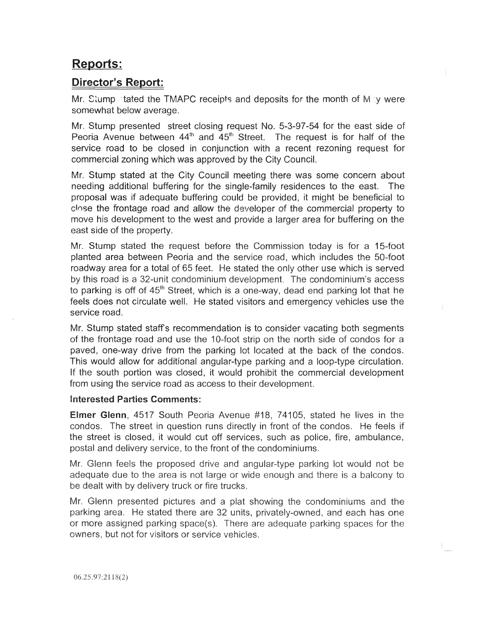# Reports:

# Director's Report:

Mr. Stump stated the TMAPC receipts and deposits for the month of M by were somewhat below average.

Mr. Stump presented street closing request No. 5-3-97-54 for the east side of Peoria Avenue between  $44<sup>th</sup>$  and  $45<sup>th</sup>$  Street. The request is for half of the service road to be closed in conjunction with a recent rezoning request for commercial zoning which was approved by the City Council.

Mr. Stump stated at the City Council meeting there was some concern about needing additional buffering for the single-family residences to the east. The proposal was if adequate buffering could be provided, it might be beneficial to close the frontage road and allow the developer of the commercial property to move his development to the west and provide a larger area for buffering on the east side of the property.

Mr. Stump stated the request before the Commission today is for a 15-foot planted area between Peoria and the service road, which includes the 50-foot roadway area for a total of 65 feet. He stated the only other use which is served by this road is a 32-unit condominium development. The condominium's access to parking is off of 45<sup>th</sup> Street, which is a one-way, dead end parking lot that he feels does not circulate well. He stated visitors and emergency vehicles use the service road.

Mr. Stump stated staff's recommendation is to consider vacating both segments of the frontage road and use the 10-foot strip on the north side of condos for a paved, one-way drive from the parking lot located at the back of the condos. This would allow for additional angular-type parking and a loop-type circulation. If the south portion was closed, it would prohibit the commercial development from using the service road as access to their development.

# Interested Parties Comments:

**Elmer Glenn**, 4517 South Peoria Avenue #18, 74105, stated he lives in the condos. The street in question runs directly in front of the condos. He feels if the street is closed, it would cut off services, such as police, fire, ambulance, postal and delivery service, to the front of the condominiums.

Mr. Glenn feels the proposed drive and angular-type parking lot would not be adequate due to the area is not large or wide enough and there is a balcony to be dealt with by delivery truck or fire trucks.

Mr. Glenn presented pictures and a plat showing the condominiums and the parking area. He stated there are 32 units, privately-owned, and each has one or more assigned parking space(s). There are adequate parking spaces for the owners, but not for visitors or service vehicles.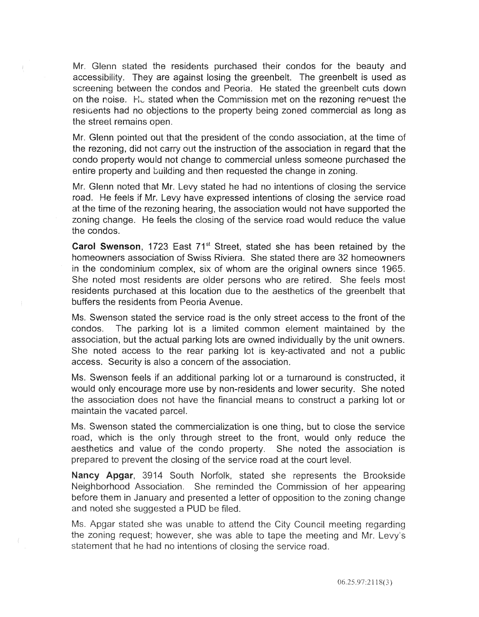Mr. Glenn stated the residents purchased their condos for the beauty and accessibility. They are against losing the greenbelt. The greenbelt is used as screening between the condos and Peoria. He stated the greenbelt cuts down on the noise. He stated when the Commission met on the rezoning renuest the resigents had no objections to the property being zoned commercial as long as the street remains open.

Mr. Glenn pointed out that the president of the condo association, at the time of the rezoning, did not carry out the instruction of the association in regard that the condo property would not change to commercial unless someone purchased the entire property and building and then requested the change in zoning.

Mr. Glenn noted that Mr. Levy stated he had no intentions of closing the service road. He feels if Mr. Levy have expressed intentions of closing the service road at the time of the rezoning hearing, the association would not have supported the zoning change. He feels the closing of the service road would reduce the value the condos.

Carol Swenson, 1723 East 71<sup>st</sup> Street, stated she has been retained by the homeowners association of Swiss Riviera. She stated there are 32 homeowners in the condominium complex, six of whom are the original owners since 1965. She noted most residents are older persons who are retired. She feels most residents purchased at this location due to the aesthetics of the greenbelt that buffers the residents from Peoria Avenue.

Ms. Swenson stated the service road is the only street access to the front of the condos. The parking lot is a limited common element maintained by the association, but the actual parking lots are owned individually by the unit owners. She noted access to the rear parking lot is key-activated and not a public access. Security is also a concern of the association.

Ms. Swenson feels if an additional parking lot or a turnaround is constructed, it would only encourage more use by non-residents and lower security. She noted the association does not have the financial means to construct a parking lot or maintain the vacated parcel.

Ms. Swenson stated the commercialization is one thing, but to close the service road, which is the only through street to the front, would only reduce the aesthetics and value of the condo property. She noted the association is prepared to prevent the closing of the service road at the court level.

Nancy Apgar, 3914 South Norfolk, stated she represents the Brookside Neighborhood Association. She reminded the Commission of her appearing before them in January and presented a letter of opposition to the zoning change and noted she suggested a PUD be filed.

Ms. Apgar stated she was unable to attend the City Council meeting regarding the zoning request; however, she was able to tape the meeting and Mr. Levy's statement that he had no intentions of closing the service road.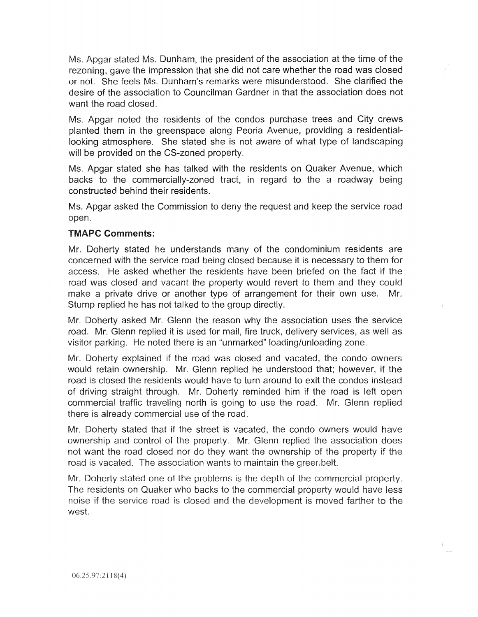Ms. Apgar stated Ms. Dunham, the president of the association at the time of the rezoning, gave the impression that she did not care whether the road was closed or not. She feels Ms. Dunham's remarks were misunderstood. She clarified the desire of the association to Councilman Gardner in that the association does not want the road closed.

Ms. Apgar noted the residents of the condos purchase trees and City crews planted them in the greenspace along Peoria Avenue, providing a residentiallooking atmosphere. She stated she is not aware of what type of landscaping will be provided on the CS-zoned property.

Ms. Apgar stated she has talked with the residents on Quaker Avenue, which backs to the commercially-zoned tract, in regard to the a roadway being constructed behind their residents.

Ms. Apgar asked the Commission to deny the request and keep the service road open.

# TMAPC Comments:

Mr. Doherty stated he understands many of the condominium residents are concerned with the service road being closed because it is necessary to them for access. He asked whether the residents have been briefed on the fact if the road was closed and vacant the property would revert to them and they could make a private drive or another type of arrangement for their own use. Mr. Stump replied he has not talked to the group directly.

Mr. Doherty asked Mr. Glenn the reason why the association uses the service road. Mr. Glenn replied it is used for mail, fire truck, delivery services, as well as visitor parking. He noted there is an "unmarked" loading/unloading zone.

Mr. Doherty explained if ihe road was closed and vacated, the condo owners would retain ownership. Mr. Glenn replied he understood that; however, if the road is closed the residents would have to turn around to exit the condos instead of driving straight through. Mr. Doherty reminded him if the road is left open commercial traffic traveling north is going to use the road. Mr. Glenn replied there is already commercial use of the road.

Mr. Doherty stated that if the street is vacated, the condo owners would have ownership and control of the property. Mr. Glenn replied the association does not want the road closed nor do they want the ownership of the property if the road is vacated. The association wants to maintain the greer belt.

Mr. Doherty stated one of the problems is the depth of the commercial property. The residents on Quaker who backs to the commercial property would have less noise if the service road is closed and the development is moved farther to the west.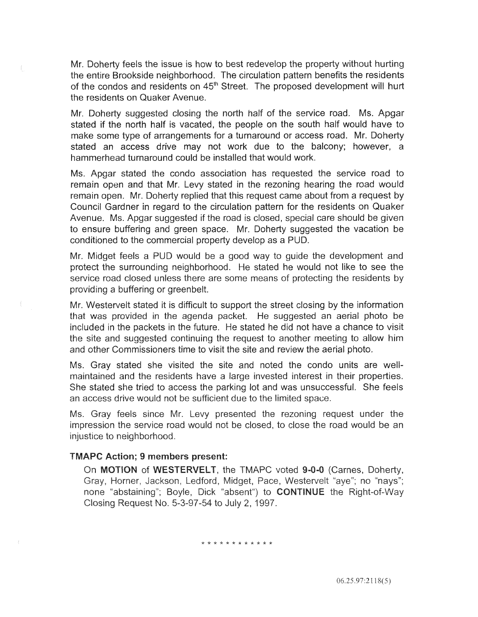Mr. Doherty feels the issue is how to best redevelop the property without hurting the entire Brookside neighborhood. The circulation pattern benefits the residents the condos and residents on 45<sup>th</sup> Street. The proposed development will hurt the residents on Quaker Avenue.

Mr. Doherty suggested closing the north half of the service road. Ms. Apgar stated if the north half is vacated, the people on the south half would have to make some type of arrangements for a turnaround or access road. Mr. Doherty stated an access drive may not work due to the balcony; however, a hammerhead turnaround could be installed that would work.

Ms. Apgar stated the condo association has requested the service road to remain open and that Mr. Levy stated in the rezoning hearing the road would remain open. Mr. Doherty replied that this request came about from a request by Council Gardner in regard to the circulation pattern for the residents on Quaker Avenue. Ms. Apgar suggested if the road is closed, special care should be given to ensure buffering and green space. Mr. Doherty suggested the vacation be conditioned to the commercial property develop as a PUD.

Mr. Midget feels a PUD would be a good way to guide the development and protect the surrounding neighborhood. He stated he would not like to see the service road closed unless there are some means of protecting the residents by providing a buffering or greenbelt.

Mr. Westervelt stated it is difficult to support the street closing by the information that was provided in the agenda packet. He suggested an aerial photo be included in the packets in the future. He stated he did not have a chance to visit the site and suggested continuing the request to another meeting to allow him and other Commissioners time to visit the site and review the aerial photo.

Ms. Gray stated she visited the site and noted the condo units are wellmaintained and the residents have a large invested interest in their properties. She stated she tried to access the parking lot and was unsuccessful. She feels an access drive would not be sufficient due to the limited space.

Ms. Gray feels since Mr. Levy presented the rezoning request under the impression the service road would not be closed, to close the road would be an injustice to neighborhood.

#### TMAPC Action; 9 members present:

Ŧ.

On MOTION of WESTERVELT, the TMAPC voted 9-0-0 (Carnes, Doherty, Gray, Horner, Jackson, Ledford, Midget, Pace, Westervelt "aye"; no "nays"; none "abstaining"; Boyle, Dick "absent") to CONTINUE the Right-of-Way Closing Request No. 5-3-97-54 to July 2, 1997.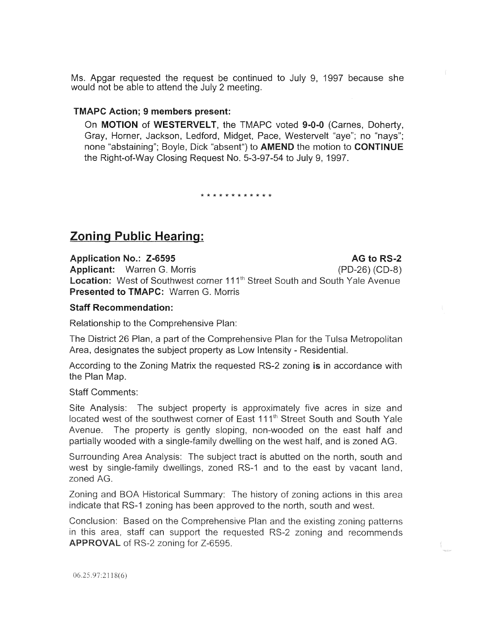Ms. Apgar requested the request be continued to July 9, 1997 because would not be able to attend the July 2 meeting.

#### TMAPC Action; 9 members present:

On MOTION of WESTERVELT, the TMAPC voted 9-0-0 (Carnes, Doherty, Gray, Horner, Jackson, Ledford, Midget, Pace, Westervelt "aye"; no "nays"; none "abstaining"; Boyle, Dick "absent") to **AMEND** the motion to **CONTINUE** the Right-of-Way Closing Request No. 5-3-97-54 to July 9, 1997.

\* \* \* \* \* \* \* \* \* \* \* \*

# Zoning Public **Hearing:**

Application No.: Z-6595 Applicant: Warren G. Morris Location: West of Southwest corner 111<sup>th</sup> Street South and South Yale Avenue Presented to TMAPC: Warren G. Morris AG to RS-2 (PD-26) (CD-8)

#### Staff Recommendation:

Relationship to the Comprehensive Plan:

The District 26 Plan, a part of the Comprehensive Plan for the Tulsa Metropolitan Area, designates the subject property as Low Intensity - Residential.

According to the Zoning Matrix the requested RS-2 zoning is in accordance with the Plan Map.

Staff Comments:

Site Analysis: The subject property is approximately five acres in size and located west of the southwest corner of East 111<sup>th</sup> Street South and South Yale Avenue. The property is gently sloping, non-wooded on the east half and partially wooded with a single-family dwelling on the west half, and is zoned AG.

Surrounding Area Analysis: The subject tract is abutted on the north, south and west by single-family dwellings, zoned RS-1 and to the east by vacant land, zoned AG.

Zoning and BOA Historical Summary: The history of zoning actions in this area indicate that RS-1 zoning has been approved to the north, south and west.

Conclusion: Based on the Comprehensive Plan and the existing zoning patterns in this area, staff can support the requested RS-2 zoning and recommends APPROVAL of RS-2 zoning for Z-6595.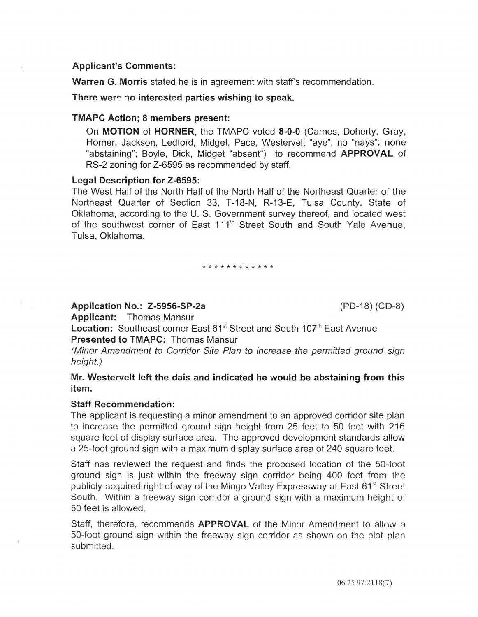## Applicant's Comments:

Warren G. Morris stated he is in agreement with staff's recommendation.

#### There were no interested parties wishing to speak.

#### TMAPC Action; 8 members present:

On MOTION of HORNER, the TMAPC voted 8-0-0 (Carnes, Doherty, Gray, Horner, Jackson, Ledford, Midget, Pace, Westervelt "aye"; no "nays"; none "abstaining"; Boyle, Dick, Midget "absent") to recommend **APPROVAL** of RS-2 zoning for Z-6595 as recommended by staff.

#### Legal Description for Z-6595:

The West Half of the North Half of the North Half of the Northeast Quarter of the Northeast Quarter of Section 33, T-18-N, R-13-E, Tulsa County, State of Oklahoma, according to the U.S. Government survey thereof, and located west of the southwest corner of East 111<sup>th</sup> Street South and South Yale Avenue, Tulsa, Oklahoma.

\* \* \* \* \* \* \* \* \* \* \*

Application No.: Z-5956-SP-2a (PD-18) (CD-8)

Applicant: Thomas Mansur

Location: Southeast corner East 61<sup>st</sup> Street and South 107<sup>th</sup> East Avenue Presented to TMAPC: Thomas Mansur

(Minor Amendment to Corridor Site Plan to increase the permitted ground sign height.)

# Westervelt left the dais and indicated he would be abstaining from this item.

# Staff Recommendation:

The applicant is requesting a minor amendment to an approved corridor site plan to increase the permitted ground sign height from 25 feet to 50 feet with 216 square feet of display surface area. The approved development standards allow a 25-foot ground sign with a maximum display surface area of 240 square feet.

Staff has reviewed the request and finds the proposed location of the 50-foot ground sign is just within the freeway sign corridor being 400 feet from the publicly-acquired right-of-way of the Mingo Valley Expressway at East 61<sup>st</sup> Street South. Within a freeway sign corridor a ground sign with a maximum height of 50 feet is allowed.

Staff, therefore, recommends APPROVAL of the Minor Amendment to allow a 50-foot ground sign within the freeway sign corridor as shown on the plot plan submitted.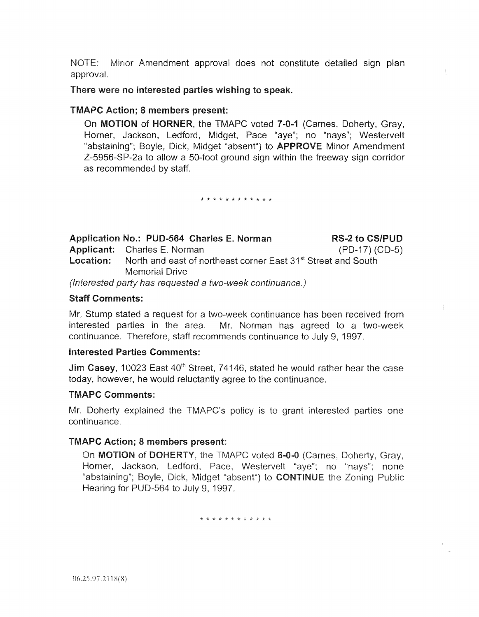NOTE: Minor Amendment approval does not constitute detailed sign plan approval.

# There were no interested parties wishing to speak.

# TMAPC Action; 8 members present:

On MOTION of HORNER, the TMAPC voted 7-0-1 (Carnes, Doherty, Gray, Horner, Jackson, Ledford, Midget, Pace "aye"; no "nays"; Westervelt "abstaining"; Boyle, Dick, Midget "absent") to **APPROVE** Minor Amendment Z-5956-SP-2a to allow a 50-foot ground sign within the freeway sign corridor as recommended by staff.

\* \* \* \* \* \* \* \* \* \* \* \*

| Application No.: PUD-564 Charles E. Norman                                                 | <b>RS-2 to CS/PUD</b> |
|--------------------------------------------------------------------------------------------|-----------------------|
| <b>Applicant:</b> Charles E. Norman                                                        | $(PD-17) (CD-5)$      |
| <b>Location:</b> North and east of northeast corner East 31 <sup>st</sup> Street and South |                       |
| <b>Memorial Drive</b>                                                                      |                       |
| (Interested party has requested a two-week continuance.)                                   |                       |

# Staff Comments:

Mr. Stump stated a request for a two-week continuance has been received from interested parties in the area. Mr. Norman has agreed to a two-week continuance. Therefore, staff recommends continuance to July 9, 1997.

# Interested **Parties** Comments:

**Jim Casey**, 10023 East 40<sup>th</sup> Street, 74146, stated he would rather hear the case today, however, he would reluctantly agree to the continuance.

# TMAPC Comments:

r. Doherty explained the TMAPC's policy is to grant interested parties one continuance.

# TMAPC Action; 8 members present:

On MOTION of DOHERTY, the TMAPC voted 8-0-0 (Carnes, Doherty, Gray, Horner, Jackson, Ledford, Pace, Westervelt "aye"; no "nays"; none "abstaining"; Boyle, Dick, Midget "absent") to **CONTINUE** the Zoning Public Hearing for PUD-564 to July 9, 1997.

\* \* \* \* \* \* \* \* \* \* \*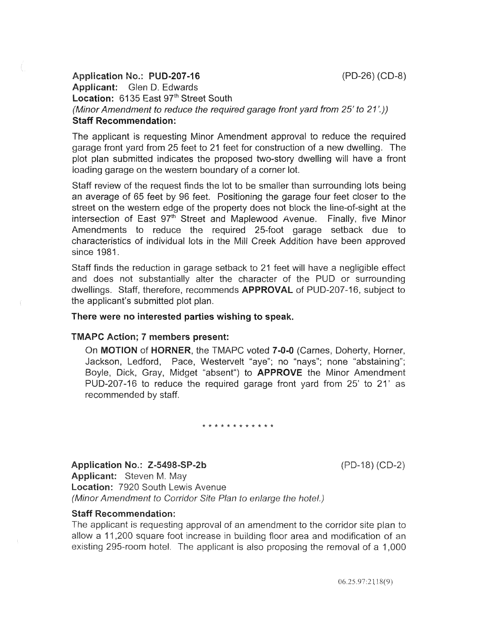# Application No.: PUD-207-16 (PD-26) (CD-8) Applicant: Glen D. Edwards Location: 6135 East 97<sup>th</sup> Street South (Minor Amendment to reduce the required garage front yard from 25' to 21'.)) Staff Recommendation:

The applicant is requesting Minor Amendment approval to reduce the required garage front yard from 25 feet to 21 feet for construction of a new dwelling. The plot plan submitted indicates the proposed two-story dwelling will have a front loading garage on the western boundary of a corner lot.

Staff review of the request finds the lot to be smaller than surrounding lots being an average of 65 feet by 96 feet. Positioning the garage four feet closer to the street on the western edge of the property does not block the line-of-sight at the intersection of East 97<sup>th</sup> Street and Maplewood Avenue. Finally, five Minor Amendments to reduce the required 25-foot garage setback due to characteristics of individual lots in the Mill Creek Addition have been approved since 1981.

Staff finds the reduction in garage setback to 21 feet will have a negligible effect and does not substantially alter the character of the PUD or surrounding dwellings. Staff, therefore, recommends APPROVAL of PUD-207-16, subject to the applicant's submitted plot plan.

# There were no interested parties wishing to speak.

# TMAPC Action; 7 members present:

On MOTION of HORNER, the TMAPC voted 7-0-0 (Carnes, Doherty, Horner, Jackson, Ledford, Pace, Westervelt "aye"; no "nays"; none "abstaining"; Boyle, Dick, Gray, Midget "absent") to APPROVE the Minor Amendment PUD-207-16 to reduce the required garage front yard from 25' to 21' as recommended by staff.

#### \* \* \* \* \* \* \* \* \* \* \* \*

Application No.: Z-5498-SP-2b

 $(PD-18) (CD-2)$ 

Applicant: Steven M. May Location: 7920 South Lewis Avenue (Minor Amendment to Corridor Site Plan to enlarge the hotel.)

# Staff Recommendation:

The applicant is requesting approval of an amendment to the corridor site plan to allow a 11,200 square foot increase in building floor area and modification of an existing 295-room hotel. The applicant is also proposing the removal of a 1,000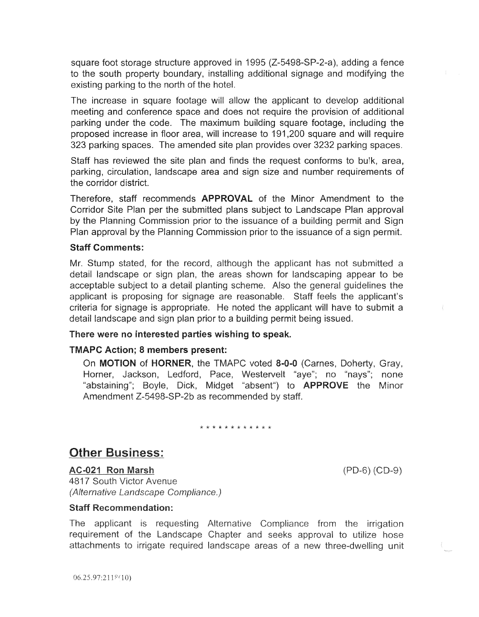square foot storage structure approved in 1995 (Z-5498-SP-2-a), adding a fence to the south property boundary, installing additional signage and modifying the existing parking to the north of the hotel.

The increase in square footage will allow the applicant to develop additional meeting and conference space and does not require the provision of additional parking under the code. The maximum building square footage, including the proposed increase in floor area, will increase to 191 ,200 square and will require 323 parking spaces. The amended site plan provides over 3232 parking spaces.

Staff has reviewed the site plan and finds the request conforms to bu!k, area, parking, circulation, landscape area and sign size and number requirements of the corridor district.

Therefore, staff recommends APPROVAL of the Minor Amendment to the Corridor Site Plan per the submitted plans subject to Landscape Plan approval by the Planning Commission prior to the issuance of a building permit and Sign Plan approval by the Planning Commission prior to the issuance of a sign permit.

# Staff Comments:

Mr. Stump stated, for the record, although the applicant has not submitted a detail landscape or sign plan, the areas shown for landscaping appear to be acceptable subject to a detail planting scheme. Also the general guidelines the applicant is proposing for signage are reasonable. Staff feels the applicant's criteria for signage is appropriate. He noted the applicant will have to submit a detail landscape and sign plan prior to a building permit being issued.

# There were no interested parties wishing to speak.

# TMAPC Action; 8 members present:

On **MOTION** of **HORNER**, the TMAPC voted 8-0-0 (Carnes, Doherty, Gray, Horner, Jackson, Ledford, Pace, Westervelt "aye"; no "nays"; none "abstaining"; Boyle, Dick, Midget "absent") to **APPROVE** the Minor Amendment Z-5498-SP-2b as recommended by staff.

\* \* \* \* \* \* \* \* \* \* \* \*

# **Other Business:**

 $(PD-6) (CD-9)$ 

AC-021 Ron Marsh 4817 South Victor Avenue (Alternative Landscape Compliance.)

#### **Staff Recommendation:**

The applicant is requesting Alternative Compliance from the irrigation requirement of the Landscape Chapter and seeks approval to utilize hose attachments to irrigate required landscape areas of a new three-dwelling unit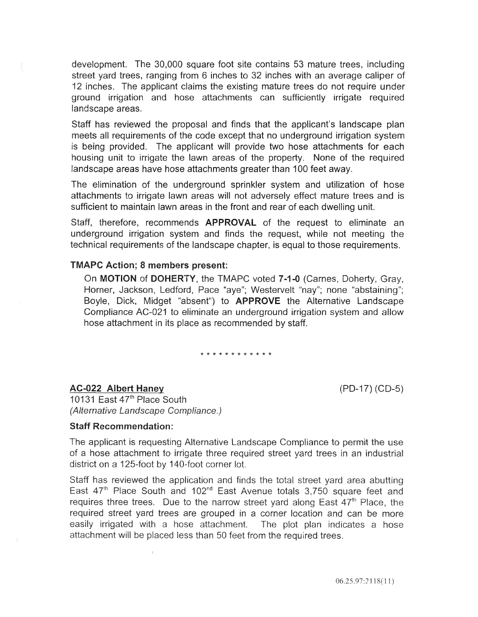development. The 30,000 square foot site contains 53 mature trees, including street yard trees, ranging from 6 inches to 32 inches with an average caliper of 12 inches. The applicant claims the existing mature trees do not require under ground irrigation and hose attachments can sufficiently irrigate required landscape areas.

Staff has reviewed the proposal and finds that the applicant's landscape plan meets all requirements of the code except that no underground irrigation system is being provided. The applicant will provide two hose attachments for each housing unit to irrigate the lawn areas of the property. None of the required landscape areas have hose attachments greater than 100 feet away.

The elimination of the underground sprinkler system and utilization of hose attachments to irrigate lawn areas will not adversely effect mature trees and is sufficient to maintain lawn areas in the front and rear of each dwelling unit.

Staff, therefore, recommends **APPROVAL** of the request to eliminate an underground irrigation system and finds the request, while not meeting the technical requirements of the landscape chapter, is equal to those requirements.

#### TMAPC Action; 8 members present:

On MOTION of DOHERTY, the TMAPC voted 7-1-0 (Carnes, Doherty, Gray, Horner, Jackson, Ledford, Pace "aye"; Westervelt "nay"; none "abstaining"; Boyle, Dick, Midget "absent") to APPROVE the Alternative Landscape Compliance AC-021 to eliminate an underground irrigation system and allow hose attachment in its place as recommended by staff.

\* \* \* \* \* \* \* \* \* \* \* \*

#### AC-022 Albert Haney

(PD-17) (CD-5)

10131 East 47<sup>th</sup> Place South (Alternative Landscape Compliance.)

#### Staff Recommendation:

The applicant is requesting Alternative Landscape Compliance to permit the use of a hose attachment to irrigate three required street yard trees in an industrial district on a 125-foot by 140-foot corner lot.

Staff has reviewed the application and finds the total street yard area abutting East 47<sup>th</sup> Place South and 102<sup>nd</sup> East Avenue totals 3,750 square feet and requires three trees. Due to the narrow street yard along East 47<sup>th</sup> Place, the required street yard trees are grouped in a corner location and can be more easily irrigated with a hose attachment. The plot plan indicates a hose attachment will be placed less than 50 feet from the required trees.